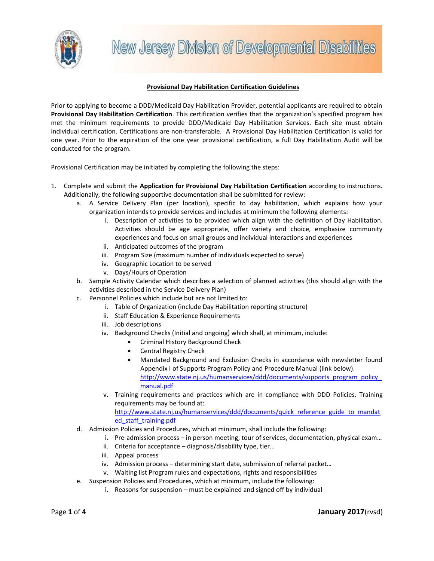

# **Provisional Day Habilitation Certification Guidelines**

Prior to applying to become a DDD/Medicaid Day Habilitation Provider, potential applicants are required to obtain **Provisional Day Habilitation Certification**. This certification verifies that the organization's specified program has met the minimum requirements to provide DDD/Medicaid Day Habilitation Services. Each site must obtain individual certification. Certifications are non-transferable. A Provisional Day Habilitation Certification is valid for one year. Prior to the expiration of the one year provisional certification, a full Day Habilitation Audit will be conducted for the program.

Provisional Certification may be initiated by completing the following the steps:

- 1. Complete and submit the **Application for Provisional Day Habilitation Certification** according to instructions. Additionally, the following supportive documentation shall be submitted for review:
	- a. A Service Delivery Plan (per location), specific to day habilitation, which explains how your organization intends to provide services and includes at minimum the following elements:
		- i. Description of activities to be provided which align with the definition of Day Habilitation. Activities should be age appropriate, offer variety and choice, emphasize community experiences and focus on small groups and individual interactions and experiences
		- ii. Anticipated outcomes of the program
		- iii. Program Size (maximum number of individuals expected to serve)
		- iv. Geographic Location to be served
		- v. Days/Hours of Operation
	- b. Sample Activity Calendar which describes a selection of planned activities (this should align with the activities described in the Service Delivery Plan)
	- c. Personnel Policies which include but are not limited to:
		- i. Table of Organization (include Day Habilitation reporting structure)
		- ii. Staff Education & Experience Requirements
		- iii. Job descriptions
		- iv. Background Checks (Initial and ongoing) which shall, at minimum, include:
			- Criminal History Background Check
			- Central Registry Check
			- Mandated Background and Exclusion Checks in accordance with newsletter found Appendix I of Supports Program Policy and Procedure Manual (link below). [http://www.state.nj.us/humanservices/ddd/documents/supports\\_program\\_policy\\_](http://www.state.nj.us/humanservices/ddd/documents/supports_program_policy_manual.pdf) [manual.pdf](http://www.state.nj.us/humanservices/ddd/documents/supports_program_policy_manual.pdf)
		- v. Training requirements and practices which are in compliance with DDD Policies. Training requirements may be found at:

http://www.state.nj.us/humanservices/ddd/documents/quick reference guide to mandat [ed\\_staff\\_training.pdf](http://www.state.nj.us/humanservices/ddd/documents/quick_reference_guide_to_mandated_staff_training.pdf)

- d. Admission Policies and Procedures, which at minimum, shall include the following:
	- i. Pre-admission process in person meeting, tour of services, documentation, physical exam…
	- ii. Criteria for acceptance diagnosis/disability type, tier…
	- iii. Appeal process
	- iv. Admission process determining start date, submission of referral packet…
	- v. Waiting list Program rules and expectations, rights and responsibilities
- e. Suspension Policies and Procedures, which at minimum, include the following:
	- i. Reasons for suspension must be explained and signed off by individual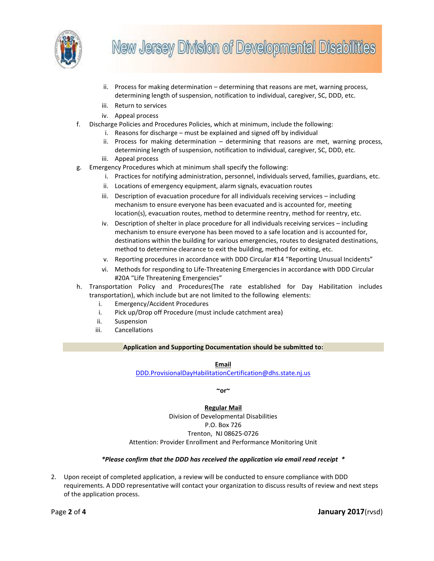

- ii. Process for making determination determining that reasons are met, warning process, determining length of suspension, notification to individual, caregiver, SC, DDD, etc.
- iii. Return to services
- iv. Appeal process
- f. Discharge Policies and Procedures Policies, which at minimum, include the following:
	- i. Reasons for discharge must be explained and signed off by individual
	- ii. Process for making determination determining that reasons are met, warning process, determining length of suspension, notification to individual, caregiver, SC, DDD, etc.
	- iii. Appeal process
- g. Emergency Procedures which at minimum shall specify the following:
	- i. Practices for notifying administration, personnel, individuals served, families, guardians, etc.
	- ii. Locations of emergency equipment, alarm signals, evacuation routes
	- iii. Description of evacuation procedure for all individuals receiving services including mechanism to ensure everyone has been evacuated and is accounted for, meeting location(s), evacuation routes, method to determine reentry, method for reentry, etc.
	- iv. Description of shelter in place procedure for all individuals receiving services including mechanism to ensure everyone has been moved to a safe location and is accounted for, destinations within the building for various emergencies, routes to designated destinations, method to determine clearance to exit the building, method for exiting, etc.
	- v. Reporting procedures in accordance with DDD Circular #14 "Reporting Unusual Incidents"
	- vi. Methods for responding to Life-Threatening Emergencies in accordance with DDD Circular #20A "Life Threatening Emergencies"
- h. Transportation Policy and Procedures(The rate established for Day Habilitation includes transportation), which include but are not limited to the following elements:
	- i. Emergency/Accident Procedures
	- i. Pick up/Drop off Procedure (must include catchment area)
	- ii. Suspension
	- iii. Cancellations

## **Application and Supporting Documentation should be submitted to:**

**Email**

[DDD.ProvisionalDayHabilitationCertification@dhs.state.nj.us](mailto:DDD.ProvisionalDayHabilitationCertification@dhs.state.nj.us)

**~or~**

#### **Regular Mail**

Division of Developmental Disabilities P.O. Box 726 Trenton, NJ 08625-0726 Attention: Provider Enrollment and Performance Monitoring Unit

#### *\*Please confirm that the DDD has received the application via email read receipt \**

2. Upon receipt of completed application, a review will be conducted to ensure compliance with DDD requirements. A DDD representative will contact your organization to discuss results of review and next steps of the application process.

Page **2** of **4 January 2017**(rvsd)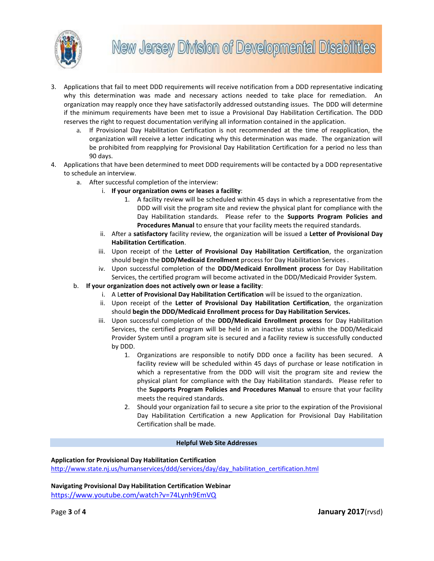

- 3. Applications that fail to meet DDD requirements will receive notification from a DDD representative indicating why this determination was made and necessary actions needed to take place for remediation. An organization may reapply once they have satisfactorily addressed outstanding issues. The DDD will determine if the minimum requirements have been met to issue a Provisional Day Habilitation Certification. The DDD reserves the right to request documentation verifying all information contained in the application.
	- a. If Provisional Day Habilitation Certification is not recommended at the time of reapplication, the organization will receive a letter indicating why this determination was made. The organization will be prohibited from reapplying for Provisional Day Habilitation Certification for a period no less than 90 days.
- 4. Applications that have been determined to meet DDD requirements will be contacted by a DDD representative to schedule an interview.
	- a. After successful completion of the interview:
		- i. **If your organization owns or leases a facility**:
			- 1. A facility review will be scheduled within 45 days in which a representative from the DDD will visit the program site and review the physical plant for compliance with the Day Habilitation standards. Please refer to the **Supports Program Policies and Procedures Manual** to ensure that your facility meets the required standards.
		- ii. After a **satisfactory** facility review, the organization will be issued a **Letter of Provisional Day Habilitation Certification**.
		- iii. Upon receipt of the **Letter of Provisional Day Habilitation Certification**, the organization should begin the **DDD/Medicaid Enrollment** process for Day Habilitation Services .
		- iv. Upon successful completion of the **DDD/Medicaid Enrollment process** for Day Habilitation Services, the certified program will become activated in the DDD/Medicaid Provider System.
	- b. **If your organization does not actively own or lease a facility**:
		- i. A L**etter of Provisional Day Habilitation Certification** will be issued to the organization.
		- ii. Upon receipt of the **Letter of Provisional Day Habilitation Certification**, the organization should **begin the DDD/Medicaid Enrollment process for Day Habilitation Services.**
		- iii. Upon successful completion of the **DDD/Medicaid Enrollment process** for Day Habilitation Services, the certified program will be held in an inactive status within the DDD/Medicaid Provider System until a program site is secured and a facility review is successfully conducted by DDD.
			- 1. Organizations are responsible to notify DDD once a facility has been secured. A facility review will be scheduled within 45 days of purchase or lease notification in which a representative from the DDD will visit the program site and review the physical plant for compliance with the Day Habilitation standards. Please refer to the **Supports Program Policies and Procedures Manual** to ensure that your facility meets the required standards.
			- 2. Should your organization fail to secure a site prior to the expiration of the Provisional Day Habilitation Certification a new Application for Provisional Day Habilitation Certification shall be made.

#### **Helpful Web Site Addresses**

**Application for Provisional Day Habilitation Certification**  [http://www.state.nj.us/humanservices/ddd/services/day/day\\_habilitation\\_certification.html](http://www.state.nj.us/humanservices/ddd/services/day/day_habilitation_certification.html)

**Navigating Provisional Day Habilitation Certification Webinar**  <https://www.youtube.com/watch?v=74Lynh9EmVQ>